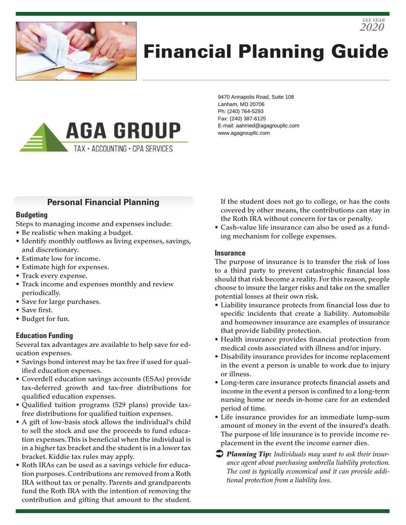

# Financial Planning Guide



9470 Annapolis Road, Suite 108 Lanham, MD 20706 Ph: (240) 764-5293 Fax: (240) 387-6125 E-mail: aahmed@agagroupllc.com www.agagroupllc.com

## **Personal Financial Planning**

#### **Budgeting**

Steps to managing income and expenses include:

- Be realistic when making a budget.
- Identify monthly outflows as living expenses, savings, and discretionary.
- Estimate low for income.
- Estimate high for expenses.
- Track every expense.
- Track income and expenses monthly and review periodically.
- Save for large purchases.
- Save first.
- Budget for fun.

## **Education Funding**

Several tax advantages are available to help save for education expenses.

- Savings bond interest may be tax free if used for qualified education expenses.
- Coverdell education savings accounts (ESAs) provide tax-deferred growth and tax-free distributions for qualified education expenses.
- Qualified tuition programs (529 plans) provide taxfree distributions for qualified tuition expenses.
- A gift of low-basis stock allows the individual's child to sell the stock and use the proceeds to fund education expenses. This is beneficial when the individual is in a higher tax bracket and the student is in a lower tax bracket. Kiddie tax rules may apply.
- Roth IRAs can be used as a savings vehicle for education purposes. Contributions are removed from a Roth IRA without tax or penalty. Parents and grandparents fund the Roth IRA with the intention of removing the contribution and gifting that amount to the student.

If the student does not go to college, or has the costs covered by other means, the contributions can stay in the Roth IRA without concern for tax or penalty.

*2020 TAX YEAR*

• Cash-value life insurance can also be used as a funding mechanism for college expenses.

#### **Insurance**

The purpose of insurance is to transfer the risk of loss to a third party to prevent catastrophic financial loss should that risk become a reality. For this reason, people choose to insure the larger risks and take on the smaller potential losses at their own risk.

- Liability insurance protects from financial loss due to specific incidents that create a liability. Automobile and homeowner insurance are examples of insurance that provide liability protection.
- Health insurance provides financial protection from medical costs associated with illness and/or injury.
- Disability insurance provides for income replacement in the event a person is unable to work due to injury or illness.
- Long-term care insurance protects financial assets and income in the event a person is confined to a long-term nursing home or needs in-home care for an extended period of time.
- Life insurance provides for an immediate lump-sum amount of money in the event of the insured's death. The purpose of life insurance is to provide income replacement in the event the income earner dies.
- *Planning Tip: Individuals may want to ask their insurance agent about purchasing umbrella liability protection. The cost is typically economical and it can provide additional protection from a liability loss.*